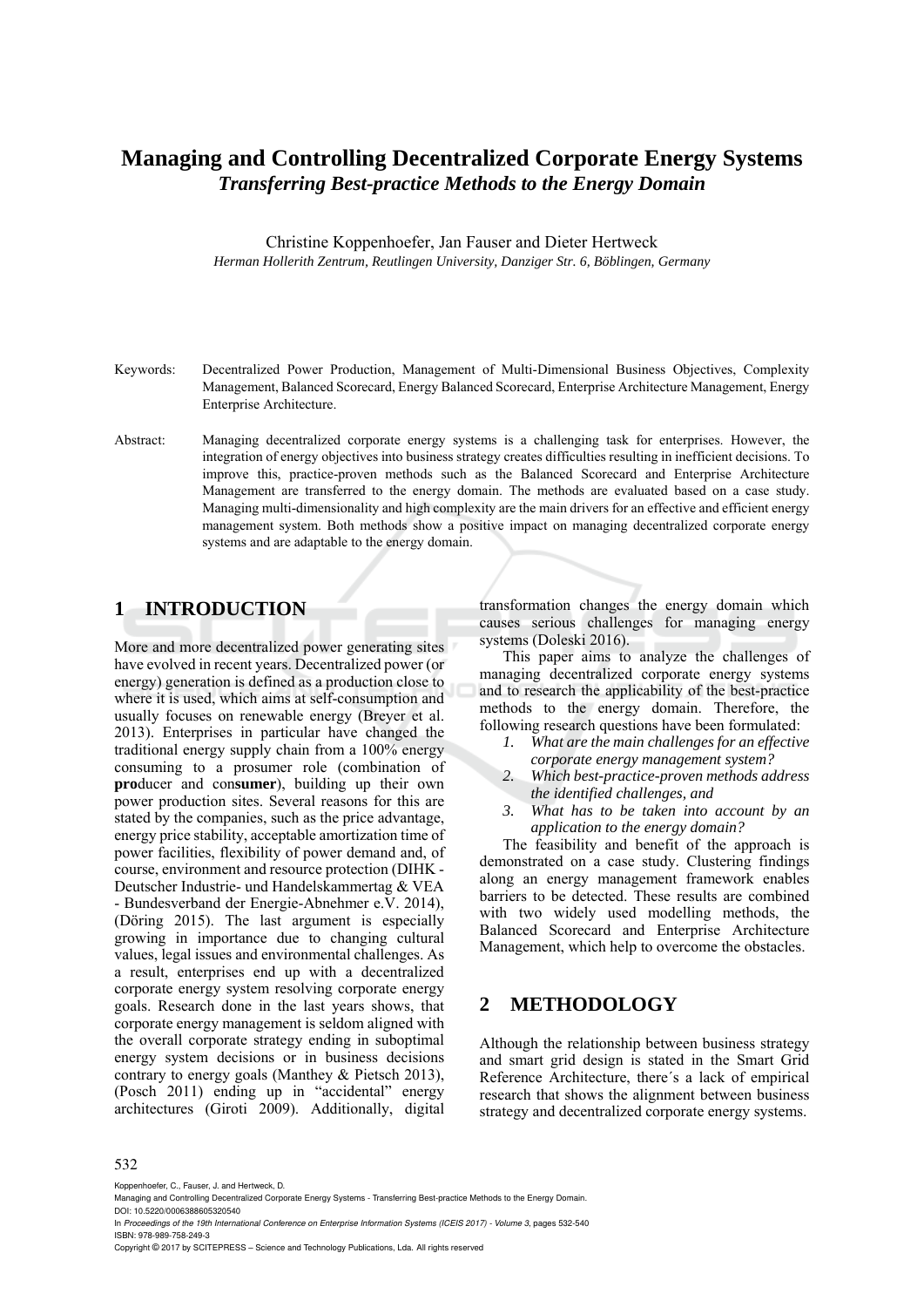# **Managing and Controlling Decentralized Corporate Energy Systems**  *Transferring Best-practice Methods to the Energy Domain*

Christine Koppenhoefer, Jan Fauser and Dieter Hertweck *Herman Hollerith Zentrum, Reutlingen University, Danziger Str. 6, Böblingen, Germany* 

- Keywords: Decentralized Power Production, Management of Multi-Dimensional Business Objectives, Complexity Management, Balanced Scorecard, Energy Balanced Scorecard, Enterprise Architecture Management, Energy Enterprise Architecture.
- Abstract: Managing decentralized corporate energy systems is a challenging task for enterprises. However, the integration of energy objectives into business strategy creates difficulties resulting in inefficient decisions. To improve this, practice-proven methods such as the Balanced Scorecard and Enterprise Architecture Management are transferred to the energy domain. The methods are evaluated based on a case study. Managing multi-dimensionality and high complexity are the main drivers for an effective and efficient energy management system. Both methods show a positive impact on managing decentralized corporate energy systems and are adaptable to the energy domain.

# **1 INTRODUCTION**

More and more decentralized power generating sites have evolved in recent years. Decentralized power (or energy) generation is defined as a production close to where it is used, which aims at self-consumption and usually focuses on renewable energy (Breyer et al. 2013). Enterprises in particular have changed the traditional energy supply chain from a 100% energy consuming to a prosumer role (combination of **pro**ducer and con**sumer**), building up their own power production sites. Several reasons for this are stated by the companies, such as the price advantage, energy price stability, acceptable amortization time of power facilities, flexibility of power demand and, of course, environment and resource protection (DIHK - Deutscher Industrie- und Handelskammertag & VEA - Bundesverband der Energie-Abnehmer e.V. 2014), (Döring 2015). The last argument is especially growing in importance due to changing cultural values, legal issues and environmental challenges. As a result, enterprises end up with a decentralized corporate energy system resolving corporate energy goals. Research done in the last years shows, that corporate energy management is seldom aligned with the overall corporate strategy ending in suboptimal energy system decisions or in business decisions contrary to energy goals (Manthey & Pietsch 2013), (Posch 2011) ending up in "accidental" energy architectures (Giroti 2009). Additionally, digital

transformation changes the energy domain which causes serious challenges for managing energy systems (Doleski 2016).

This paper aims to analyze the challenges of managing decentralized corporate energy systems and to research the applicability of the best-practice methods to the energy domain. Therefore, the following research questions have been formulated:

- *1. What are the main challenges for an effective corporate energy management system?*
- *2. Which best-practice-proven methods address the identified challenges, and*
- *3. What has to be taken into account by an application to the energy domain?*

The feasibility and benefit of the approach is demonstrated on a case study. Clustering findings along an energy management framework enables barriers to be detected. These results are combined with two widely used modelling methods, the Balanced Scorecard and Enterprise Architecture Management, which help to overcome the obstacles.

# **2 METHODOLOGY**

Although the relationship between business strategy and smart grid design is stated in the Smart Grid Reference Architecture, there´s a lack of empirical research that shows the alignment between business strategy and decentralized corporate energy systems.

#### 532

Koppenhoefer, C., Fauser, J. and Hertweck, D.

Managing and Controlling Decentralized Corporate Energy Systems - Transferring Best-practice Methods to the Energy Domain. DOI: 10.5220/0006388605320540

In *Proceedings of the 19th International Conference on Enterprise Information Systems (ICEIS 2017) - Volume 3*, pages 532-540 ISBN: 978-989-758-249-3

Copyright © 2017 by SCITEPRESS – Science and Technology Publications, Lda. All rights reserved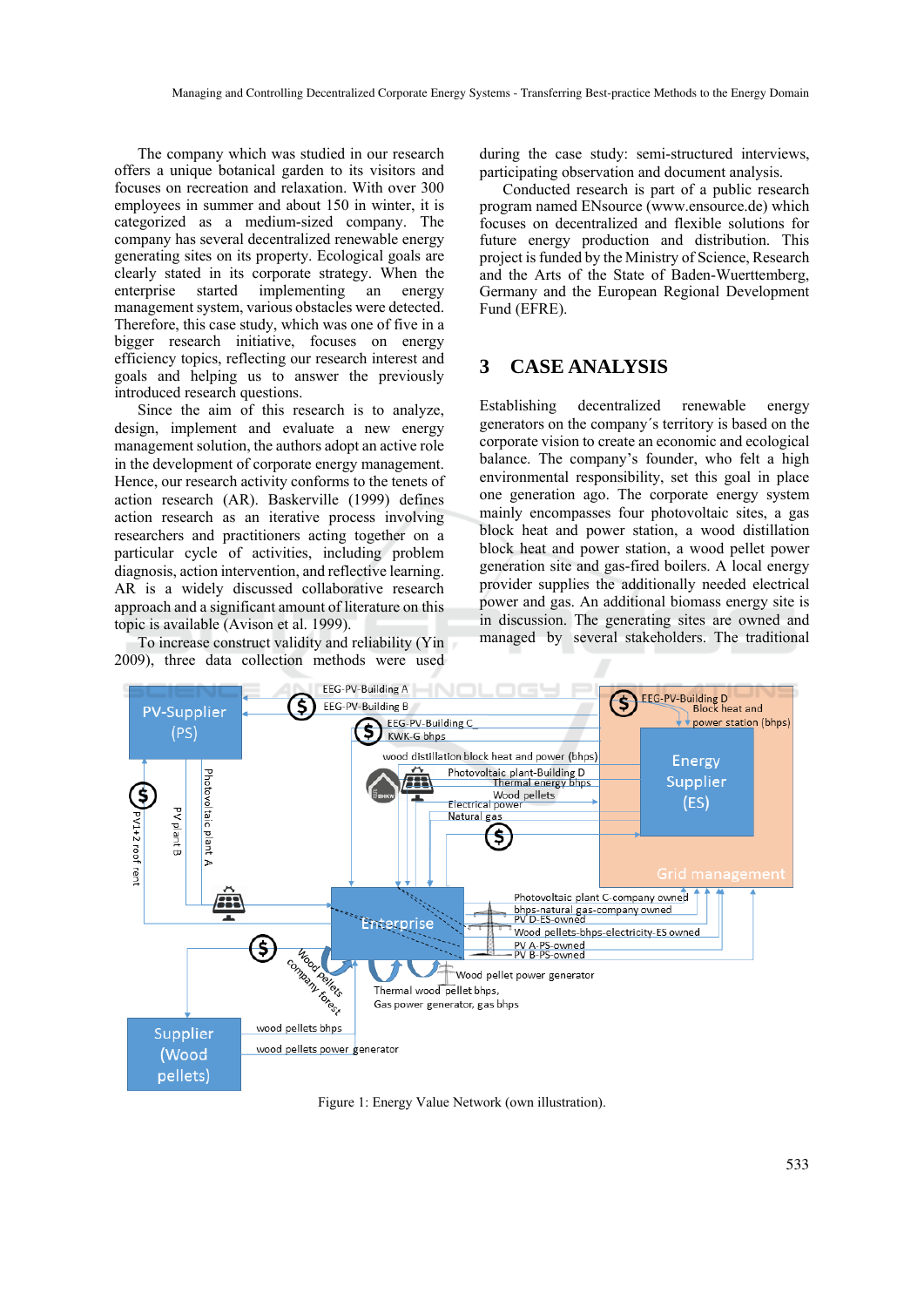The company which was studied in our research offers a unique botanical garden to its visitors and focuses on recreation and relaxation. With over 300 employees in summer and about 150 in winter, it is categorized as a medium-sized company. The company has several decentralized renewable energy generating sites on its property. Ecological goals are clearly stated in its corporate strategy. When the enterprise started implementing an energy management system, various obstacles were detected. Therefore, this case study, which was one of five in a bigger research initiative, focuses on energy efficiency topics, reflecting our research interest and goals and helping us to answer the previously introduced research questions.

Since the aim of this research is to analyze, design, implement and evaluate a new energy management solution, the authors adopt an active role in the development of corporate energy management. Hence, our research activity conforms to the tenets of action research (AR). Baskerville (1999) defines action research as an iterative process involving researchers and practitioners acting together on a particular cycle of activities, including problem diagnosis, action intervention, and reflective learning. AR is a widely discussed collaborative research approach and a significant amount of literature on this topic is available (Avison et al. 1999).

To increase construct validity and reliability (Yin 2009), three data collection methods were used

during the case study: semi-structured interviews, participating observation and document analysis.

Conducted research is part of a public research program named ENsource (www.ensource.de) which focuses on decentralized and flexible solutions for future energy production and distribution. This project is funded by the Ministry of Science, Research and the Arts of the State of Baden-Wuerttemberg, Germany and the European Regional Development Fund (EFRE).

# **3 CASE ANALYSIS**

Establishing decentralized renewable energy generators on the company´s territory is based on the corporate vision to create an economic and ecological balance. The company's founder, who felt a high environmental responsibility, set this goal in place one generation ago. The corporate energy system mainly encompasses four photovoltaic sites, a gas block heat and power station, a wood distillation block heat and power station, a wood pellet power generation site and gas-fired boilers. A local energy provider supplies the additionally needed electrical power and gas. An additional biomass energy site is in discussion. The generating sites are owned and managed by several stakeholders. The traditional



Figure 1: Energy Value Network (own illustration).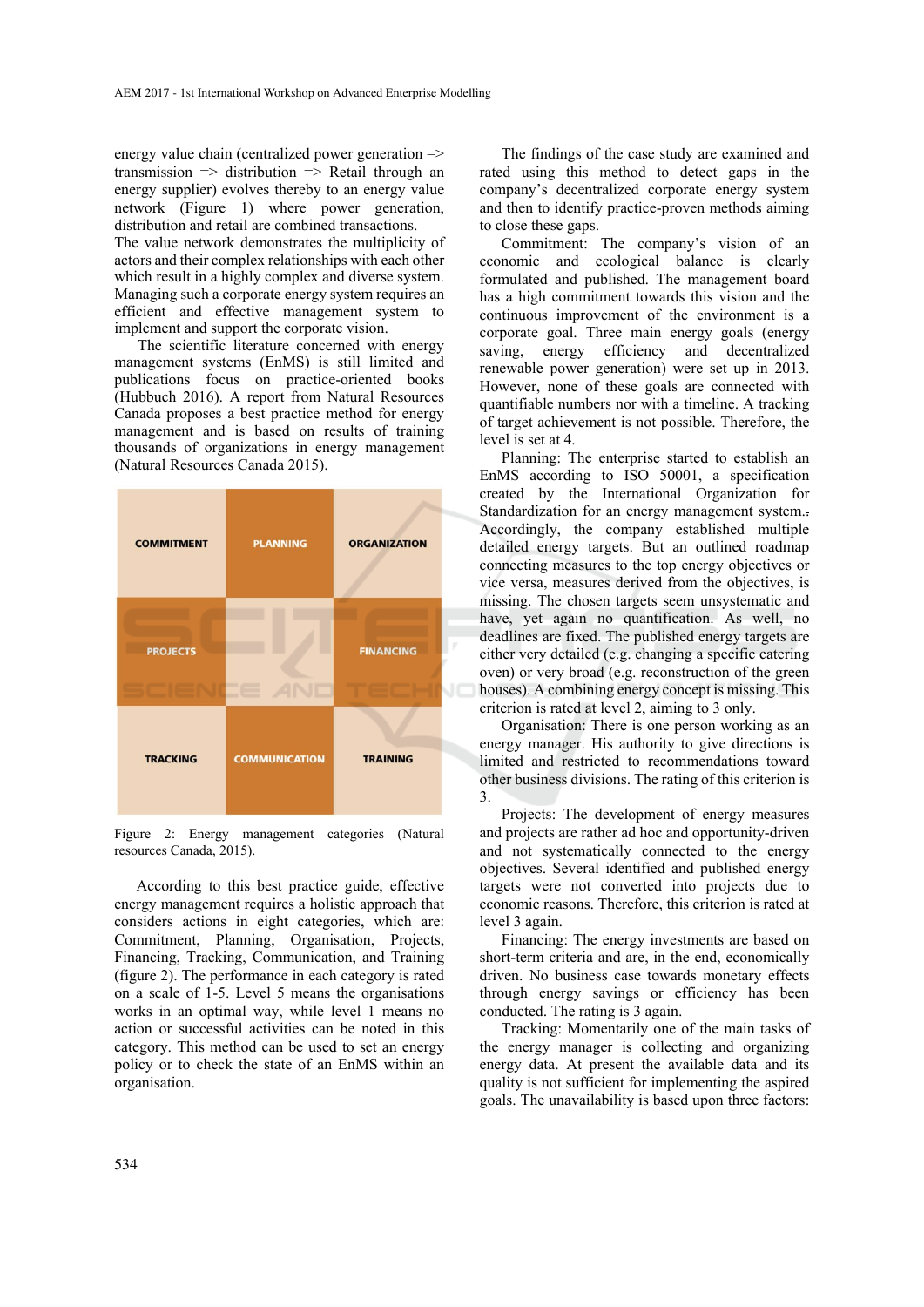energy value chain (centralized power generation  $\Rightarrow$ transmission  $\Rightarrow$  distribution  $\Rightarrow$  Retail through an energy supplier) evolves thereby to an energy value network (Figure 1) where power generation, distribution and retail are combined transactions.

The value network demonstrates the multiplicity of actors and their complex relationships with each other which result in a highly complex and diverse system. Managing such a corporate energy system requires an efficient and effective management system to implement and support the corporate vision.

The scientific literature concerned with energy management systems (EnMS) is still limited and publications focus on practice-oriented books (Hubbuch 2016). A report from Natural Resources Canada proposes a best practice method for energy management and is based on results of training thousands of organizations in energy management (Natural Resources Canada 2015).



Figure 2: Energy management categories (Natural resources Canada, 2015).

According to this best practice guide, effective energy management requires a holistic approach that considers actions in eight categories, which are: Commitment, Planning, Organisation, Projects, Financing, Tracking, Communication, and Training (figure 2). The performance in each category is rated on a scale of 1-5. Level 5 means the organisations works in an optimal way, while level 1 means no action or successful activities can be noted in this category. This method can be used to set an energy policy or to check the state of an EnMS within an organisation.

The findings of the case study are examined and rated using this method to detect gaps in the company's decentralized corporate energy system and then to identify practice-proven methods aiming to close these gaps.

Commitment: The company's vision of an economic and ecological balance is clearly formulated and published. The management board has a high commitment towards this vision and the continuous improvement of the environment is a corporate goal. Three main energy goals (energy saving, energy efficiency and decentralized renewable power generation) were set up in 2013. However, none of these goals are connected with quantifiable numbers nor with a timeline. A tracking of target achievement is not possible. Therefore, the level is set at 4.

Planning: The enterprise started to establish an EnMS according to ISO 50001, a specification created by the International Organization for Standardization for an energy management system.. Accordingly, the company established multiple detailed energy targets. But an outlined roadmap connecting measures to the top energy objectives or vice versa, measures derived from the objectives, is missing. The chosen targets seem unsystematic and have, yet again no quantification. As well, no deadlines are fixed. The published energy targets are either very detailed (e.g. changing a specific catering oven) or very broad (e.g. reconstruction of the green houses). A combining energy concept is missing. This criterion is rated at level 2, aiming to 3 only.

Organisation: There is one person working as an energy manager. His authority to give directions is limited and restricted to recommendations toward other business divisions. The rating of this criterion is 3.

Projects: The development of energy measures and projects are rather ad hoc and opportunity-driven and not systematically connected to the energy objectives. Several identified and published energy targets were not converted into projects due to economic reasons. Therefore, this criterion is rated at level 3 again.

Financing: The energy investments are based on short-term criteria and are, in the end, economically driven. No business case towards monetary effects through energy savings or efficiency has been conducted. The rating is 3 again.

Tracking: Momentarily one of the main tasks of the energy manager is collecting and organizing energy data. At present the available data and its quality is not sufficient for implementing the aspired goals. The unavailability is based upon three factors: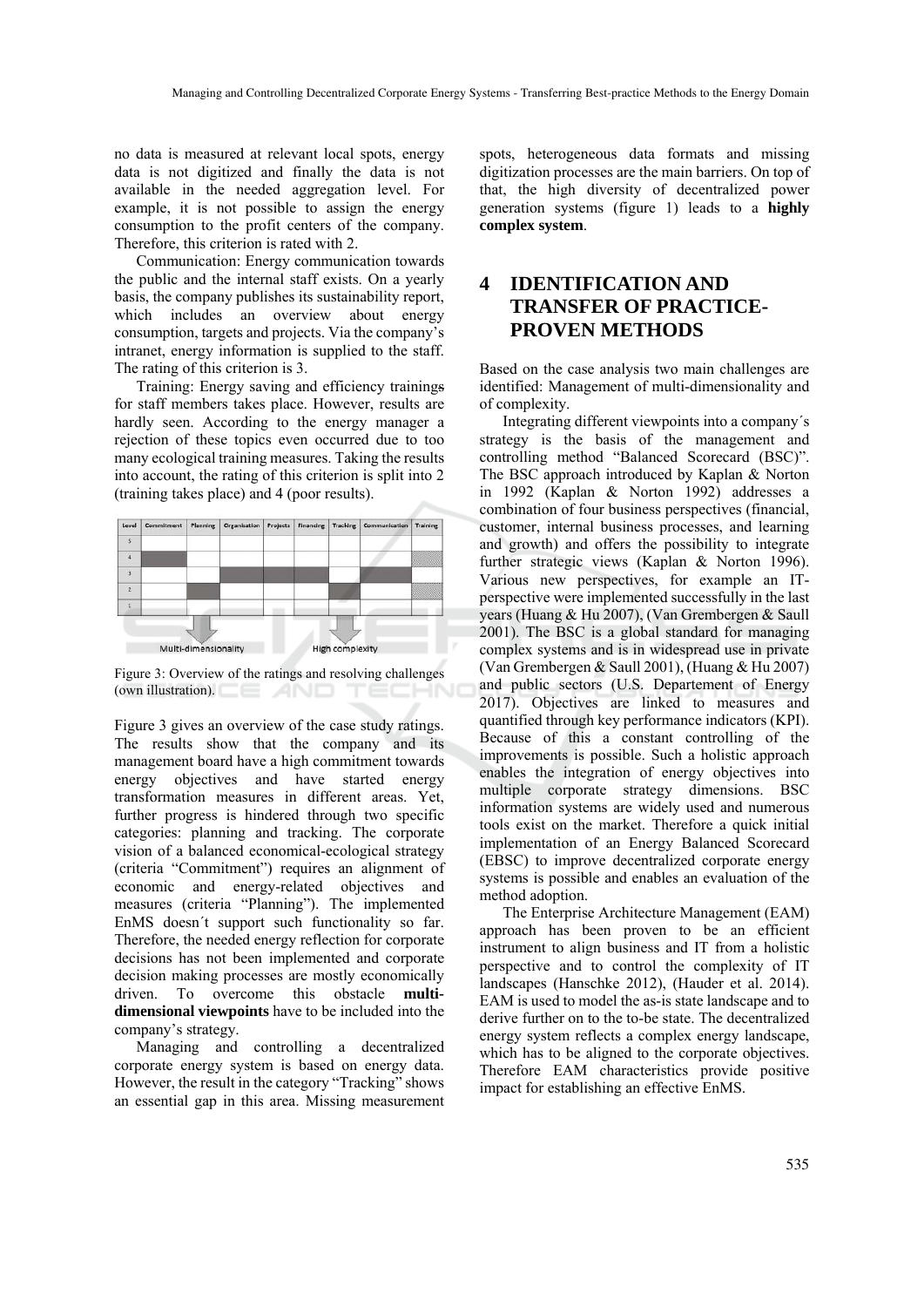no data is measured at relevant local spots, energy data is not digitized and finally the data is not available in the needed aggregation level. For example, it is not possible to assign the energy consumption to the profit centers of the company. Therefore, this criterion is rated with 2.

Communication: Energy communication towards the public and the internal staff exists. On a yearly basis, the company publishes its sustainability report, which includes an overview about energy consumption, targets and projects. Via the company's intranet, energy information is supplied to the staff. The rating of this criterion is 3.

Training: Energy saving and efficiency trainings for staff members takes place. However, results are hardly seen. According to the energy manager a rejection of these topics even occurred due to too many ecological training measures. Taking the results into account, the rating of this criterion is split into 2 (training takes place) and 4 (poor results).



Figure 3: Overview of the ratings and resolving challenges (own illustration). TECHN

Figure 3 gives an overview of the case study ratings. The results show that the company and its management board have a high commitment towards energy objectives and have started energy transformation measures in different areas. Yet, further progress is hindered through two specific categories: planning and tracking. The corporate vision of a balanced economical-ecological strategy (criteria "Commitment") requires an alignment of economic and energy-related objectives and measures (criteria "Planning"). The implemented EnMS doesn´t support such functionality so far. Therefore, the needed energy reflection for corporate decisions has not been implemented and corporate decision making processes are mostly economically driven. To overcome this obstacle **multidimensional viewpoints** have to be included into the company's strategy.

Managing and controlling a decentralized corporate energy system is based on energy data. However, the result in the category "Tracking" shows an essential gap in this area. Missing measurement

spots, heterogeneous data formats and missing digitization processes are the main barriers. On top of that, the high diversity of decentralized power generation systems (figure 1) leads to a **highly complex system**.

# **4 IDENTIFICATION AND TRANSFER OF PRACTICE-PROVEN METHODS**

Based on the case analysis two main challenges are identified: Management of multi-dimensionality and of complexity.

Integrating different viewpoints into a company´s strategy is the basis of the management and controlling method "Balanced Scorecard (BSC)". The BSC approach introduced by Kaplan & Norton in 1992 (Kaplan & Norton 1992) addresses a combination of four business perspectives (financial, customer, internal business processes, and learning and growth) and offers the possibility to integrate further strategic views (Kaplan & Norton 1996). Various new perspectives, for example an ITperspective were implemented successfully in the last years (Huang & Hu 2007), (Van Grembergen & Saull 2001). The BSC is a global standard for managing complex systems and is in widespread use in private (Van Grembergen & Saull 2001), (Huang & Hu 2007) and public sectors (U.S. Departement of Energy 2017). Objectives are linked to measures and quantified through key performance indicators (KPI). Because of this a constant controlling of the improvements is possible. Such a holistic approach enables the integration of energy objectives into multiple corporate strategy dimensions. BSC information systems are widely used and numerous tools exist on the market. Therefore a quick initial implementation of an Energy Balanced Scorecard (EBSC) to improve decentralized corporate energy systems is possible and enables an evaluation of the method adoption.

The Enterprise Architecture Management (EAM) approach has been proven to be an efficient instrument to align business and IT from a holistic perspective and to control the complexity of IT landscapes (Hanschke 2012), (Hauder et al. 2014). EAM is used to model the as-is state landscape and to derive further on to the to-be state. The decentralized energy system reflects a complex energy landscape, which has to be aligned to the corporate objectives. Therefore EAM characteristics provide positive impact for establishing an effective EnMS.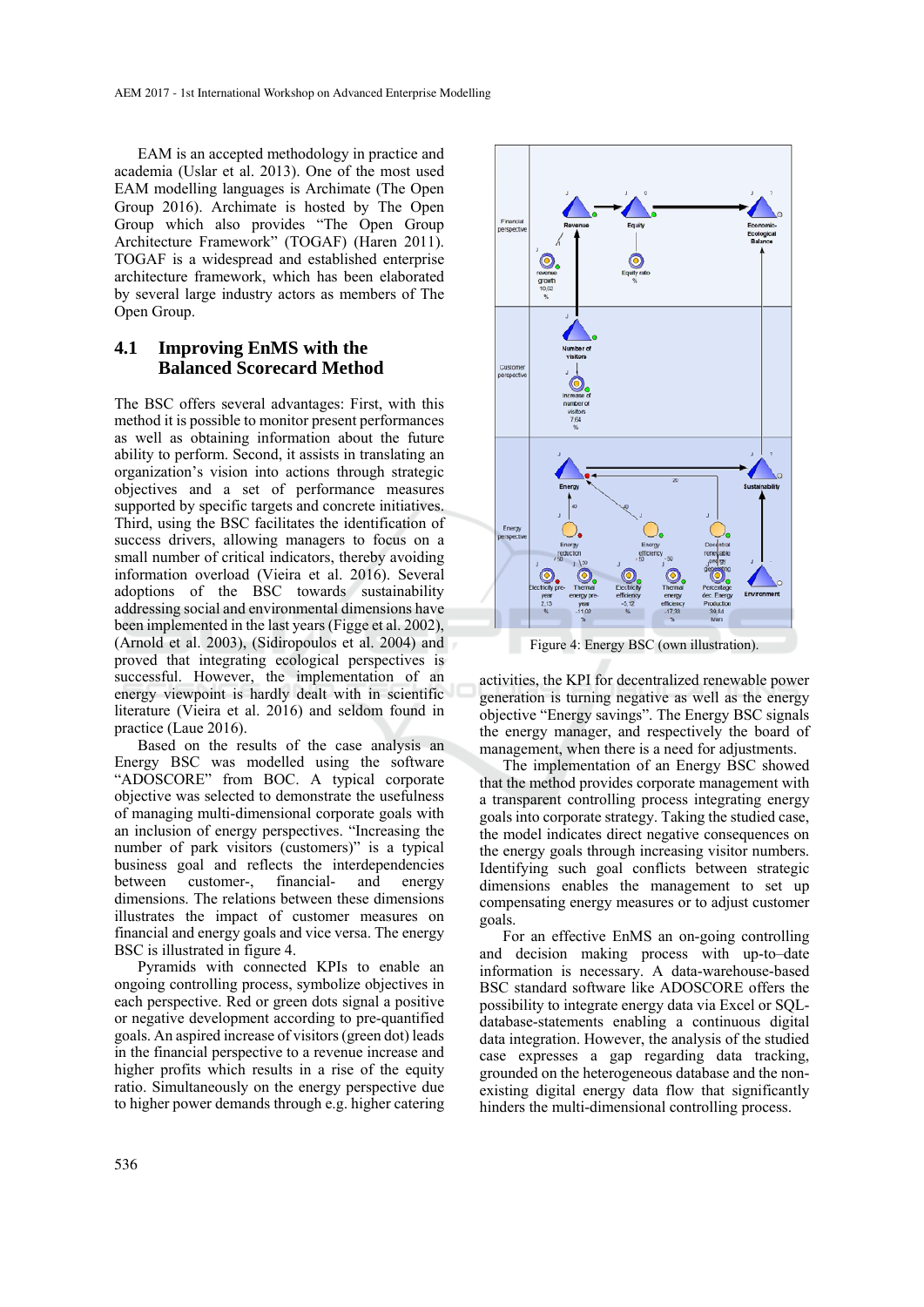EAM is an accepted methodology in practice and academia (Uslar et al. 2013). One of the most used EAM modelling languages is Archimate (The Open Group 2016). Archimate is hosted by The Open Group which also provides "The Open Group Architecture Framework" (TOGAF) (Haren 2011). TOGAF is a widespread and established enterprise architecture framework, which has been elaborated by several large industry actors as members of The Open Group.

### **4.1 Improving EnMS with the Balanced Scorecard Method**

The BSC offers several advantages: First, with this method it is possible to monitor present performances as well as obtaining information about the future ability to perform. Second, it assists in translating an organization's vision into actions through strategic objectives and a set of performance measures supported by specific targets and concrete initiatives. Third, using the BSC facilitates the identification of success drivers, allowing managers to focus on a small number of critical indicators, thereby avoiding information overload (Vieira et al. 2016). Several adoptions of the BSC towards sustainability addressing social and environmental dimensions have been implemented in the last years (Figge et al. 2002), (Arnold et al. 2003), (Sidiropoulos et al. 2004) and proved that integrating ecological perspectives is successful. However, the implementation of an energy viewpoint is hardly dealt with in scientific literature (Vieira et al. 2016) and seldom found in practice (Laue 2016).

Based on the results of the case analysis an Energy BSC was modelled using the software "ADOSCORE" from BOC. A typical corporate objective was selected to demonstrate the usefulness of managing multi-dimensional corporate goals with an inclusion of energy perspectives. "Increasing the number of park visitors (customers)" is a typical business goal and reflects the interdependencies<br>between customer-, financial- and energy between customer-, financial- and energy dimensions. The relations between these dimensions illustrates the impact of customer measures on financial and energy goals and vice versa. The energy BSC is illustrated in figure 4.

Pyramids with connected KPIs to enable an ongoing controlling process, symbolize objectives in each perspective. Red or green dots signal a positive or negative development according to pre-quantified goals. An aspired increase of visitors (green dot) leads in the financial perspective to a revenue increase and higher profits which results in a rise of the equity ratio. Simultaneously on the energy perspective due to higher power demands through e.g. higher catering



Figure 4: Energy BSC (own illustration).

activities, the KPI for decentralized renewable power generation is turning negative as well as the energy objective "Energy savings". The Energy BSC signals the energy manager, and respectively the board of management, when there is a need for adjustments.

The implementation of an Energy BSC showed that the method provides corporate management with a transparent controlling process integrating energy goals into corporate strategy. Taking the studied case, the model indicates direct negative consequences on the energy goals through increasing visitor numbers. Identifying such goal conflicts between strategic dimensions enables the management to set up compensating energy measures or to adjust customer goals.

For an effective EnMS an on-going controlling and decision making process with up-to–date information is necessary. A data-warehouse-based BSC standard software like ADOSCORE offers the possibility to integrate energy data via Excel or SQLdatabase-statements enabling a continuous digital data integration. However, the analysis of the studied case expresses a gap regarding data tracking, grounded on the heterogeneous database and the nonexisting digital energy data flow that significantly hinders the multi-dimensional controlling process.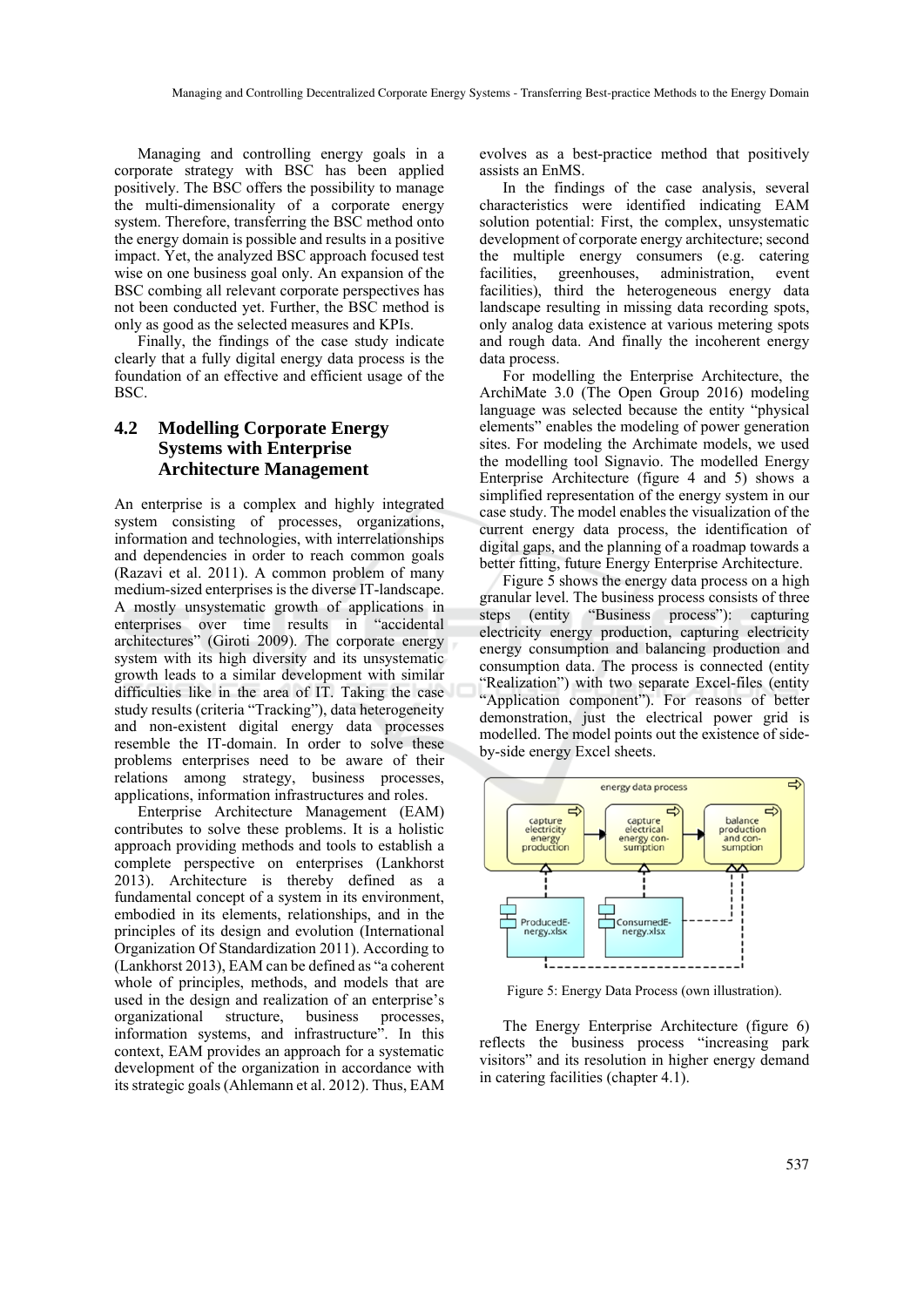Managing and controlling energy goals in a corporate strategy with BSC has been applied positively. The BSC offers the possibility to manage the multi-dimensionality of a corporate energy system. Therefore, transferring the BSC method onto the energy domain is possible and results in a positive impact. Yet, the analyzed BSC approach focused test wise on one business goal only. An expansion of the BSC combing all relevant corporate perspectives has not been conducted yet. Further, the BSC method is only as good as the selected measures and KPIs.

Finally, the findings of the case study indicate clearly that a fully digital energy data process is the foundation of an effective and efficient usage of the BSC.

### **4.2 Modelling Corporate Energy Systems with Enterprise Architecture Management**

An enterprise is a complex and highly integrated system consisting of processes, organizations, information and technologies, with interrelationships and dependencies in order to reach common goals (Razavi et al. 2011). A common problem of many medium-sized enterprises is the diverse IT-landscape. A mostly unsystematic growth of applications in enterprises over time results in "accidental architectures" (Giroti 2009). The corporate energy system with its high diversity and its unsystematic growth leads to a similar development with similar difficulties like in the area of IT. Taking the case study results (criteria "Tracking"), data heterogeneity and non-existent digital energy data processes resemble the IT-domain. In order to solve these problems enterprises need to be aware of their relations among strategy, business processes, applications, information infrastructures and roles.

Enterprise Architecture Management (EAM) contributes to solve these problems. It is a holistic approach providing methods and tools to establish a complete perspective on enterprises (Lankhorst 2013). Architecture is thereby defined as a fundamental concept of a system in its environment, embodied in its elements, relationships, and in the principles of its design and evolution (International Organization Of Standardization 2011). According to (Lankhorst 2013), EAM can be defined as "a coherent whole of principles, methods, and models that are used in the design and realization of an enterprise's organizational structure, business processes, information systems, and infrastructure". In this context, EAM provides an approach for a systematic development of the organization in accordance with its strategic goals (Ahlemann et al. 2012). Thus, EAM

evolves as a best-practice method that positively assists an EnMS.

In the findings of the case analysis, several characteristics were identified indicating EAM solution potential: First, the complex, unsystematic development of corporate energy architecture; second the multiple energy consumers (e.g. catering facilities, greenhouses, administration, event facilities), third the heterogeneous energy data landscape resulting in missing data recording spots, only analog data existence at various metering spots and rough data. And finally the incoherent energy data process.

For modelling the Enterprise Architecture, the ArchiMate 3.0 (The Open Group 2016) modeling language was selected because the entity "physical elements" enables the modeling of power generation sites. For modeling the Archimate models, we used the modelling tool Signavio. The modelled Energy Enterprise Architecture (figure 4 and 5) shows a simplified representation of the energy system in our case study. The model enables the visualization of the current energy data process, the identification of digital gaps, and the planning of a roadmap towards a better fitting, future Energy Enterprise Architecture.

Figure 5 shows the energy data process on a high granular level. The business process consists of three steps (entity "Business process"): capturing electricity energy production, capturing electricity energy consumption and balancing production and consumption data. The process is connected (entity "Realization") with two separate Excel-files (entity "Application component"). For reasons of better demonstration, just the electrical power grid is modelled. The model points out the existence of sideby-side energy Excel sheets.



Figure 5: Energy Data Process (own illustration).

The Energy Enterprise Architecture (figure 6) reflects the business process "increasing park visitors" and its resolution in higher energy demand in catering facilities (chapter 4.1).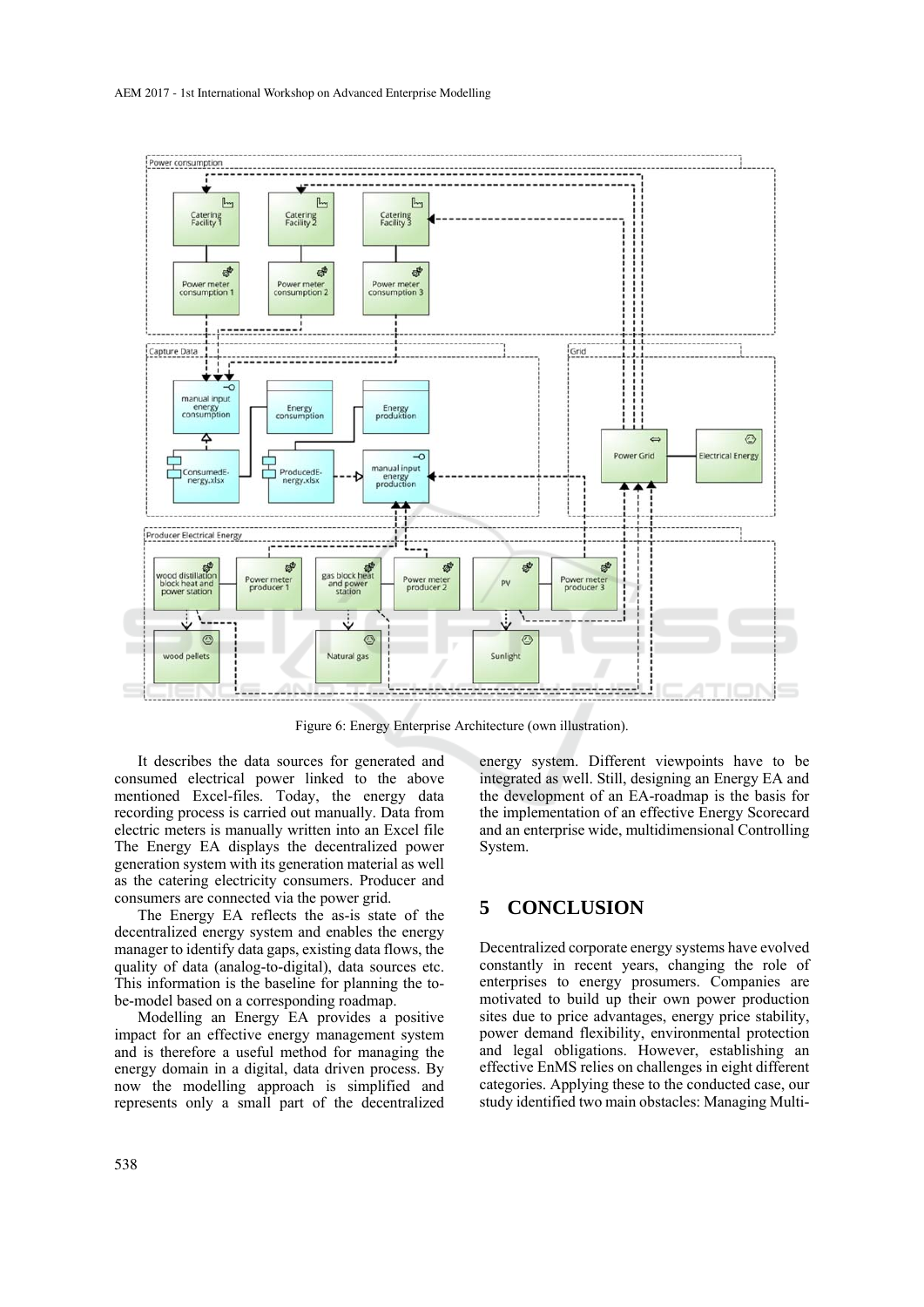

Figure 6: Energy Enterprise Architecture (own illustration).

It describes the data sources for generated and consumed electrical power linked to the above mentioned Excel-files. Today, the energy data recording process is carried out manually. Data from electric meters is manually written into an Excel file The Energy EA displays the decentralized power generation system with its generation material as well as the catering electricity consumers. Producer and consumers are connected via the power grid.

The Energy EA reflects the as-is state of the decentralized energy system and enables the energy manager to identify data gaps, existing data flows, the quality of data (analog-to-digital), data sources etc. This information is the baseline for planning the tobe-model based on a corresponding roadmap.

Modelling an Energy EA provides a positive impact for an effective energy management system and is therefore a useful method for managing the energy domain in a digital, data driven process. By now the modelling approach is simplified and represents only a small part of the decentralized energy system. Different viewpoints have to be integrated as well. Still, designing an Energy EA and the development of an EA-roadmap is the basis for the implementation of an effective Energy Scorecard and an enterprise wide, multidimensional Controlling System.

# **5 CONCLUSION**

Decentralized corporate energy systems have evolved constantly in recent years, changing the role of enterprises to energy prosumers. Companies are motivated to build up their own power production sites due to price advantages, energy price stability, power demand flexibility, environmental protection and legal obligations. However, establishing an effective EnMS relies on challenges in eight different categories. Applying these to the conducted case, our study identified two main obstacles: Managing Multi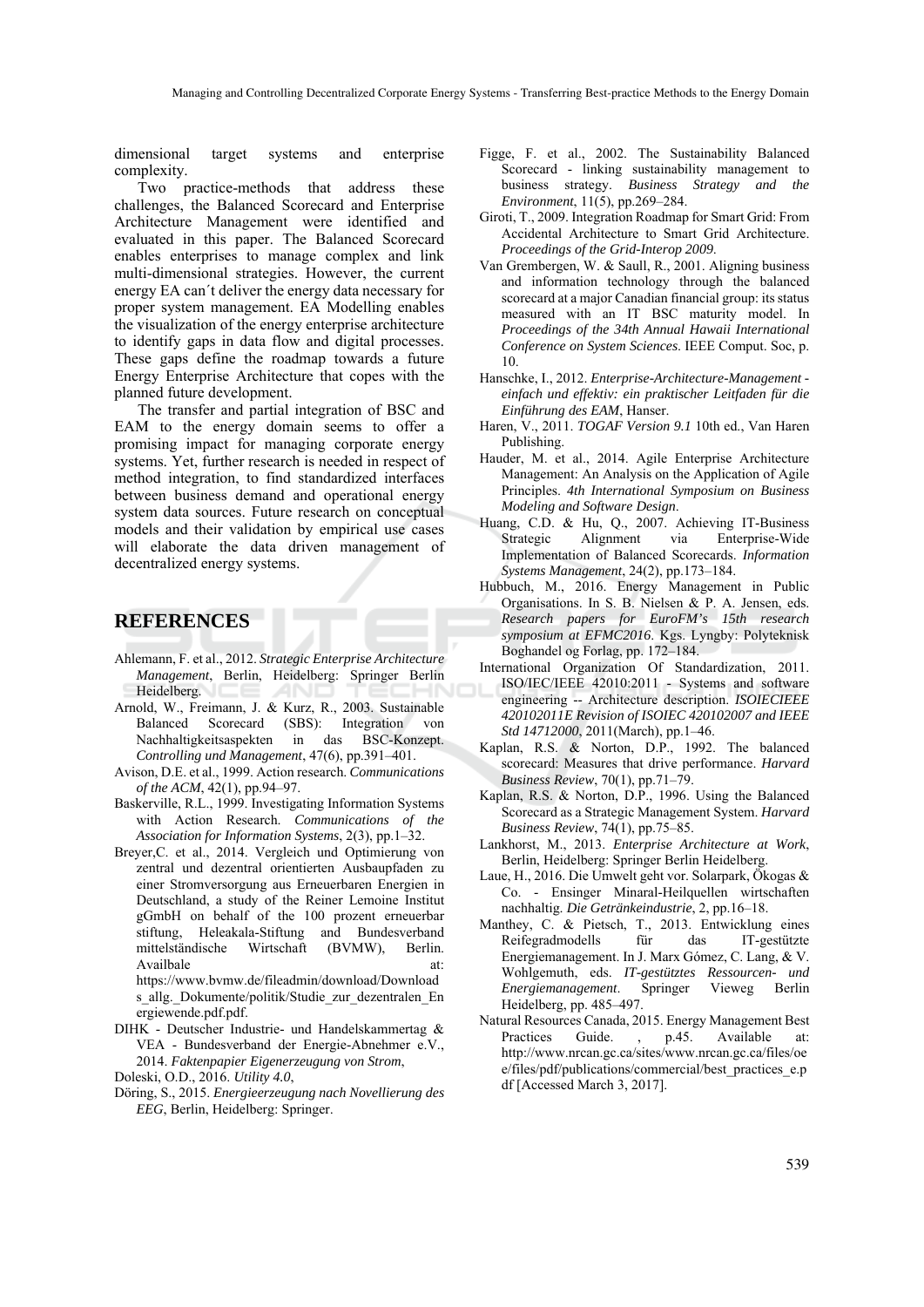dimensional target systems and enterprise complexity.

Two practice-methods that address these challenges, the Balanced Scorecard and Enterprise Architecture Management were identified and evaluated in this paper. The Balanced Scorecard enables enterprises to manage complex and link multi-dimensional strategies. However, the current energy EA can´t deliver the energy data necessary for proper system management. EA Modelling enables the visualization of the energy enterprise architecture to identify gaps in data flow and digital processes. These gaps define the roadmap towards a future Energy Enterprise Architecture that copes with the planned future development.

The transfer and partial integration of BSC and EAM to the energy domain seems to offer a promising impact for managing corporate energy systems. Yet, further research is needed in respect of method integration, to find standardized interfaces between business demand and operational energy system data sources. Future research on conceptual models and their validation by empirical use cases will elaborate the data driven management of decentralized energy systems.

### **REFERENCES**

- Ahlemann, F. et al., 2012. *Strategic Enterprise Architecture Management*, Berlin, Heidelberg: Springer Berlin Heidelberg.
- Arnold, W., Freimann, J. & Kurz, R., 2003. Sustainable Balanced Scorecard (SBS): Integration von Nachhaltigkeitsaspekten in das BSC-Konzept. *Controlling und Management*, 47(6), pp.391–401.
- Avison, D.E. et al., 1999. Action research. *Communications of the ACM*, 42(1), pp.94–97.
- Baskerville, R.L., 1999. Investigating Information Systems with Action Research. *Communications of the Association for Information Systems*, 2(3), pp.1–32.
- Breyer,C. et al., 2014. Vergleich und Optimierung von zentral und dezentral orientierten Ausbaupfaden zu einer Stromversorgung aus Erneuerbaren Energien in Deutschland, a study of the Reiner Lemoine Institut gGmbH on behalf of the 100 prozent erneuerbar stiftung, Heleakala-Stiftung and Bundesverband mittelständische Wirtschaft (BVMW), Berlin. Availbale at: at:

https://www.bvmw.de/fileadmin/download/Download s allg. Dokumente/politik/Studie zur dezentralen En ergiewende.pdf.pdf.

- DIHK Deutscher Industrie- und Handelskammertag & VEA - Bundesverband der Energie-Abnehmer e.V., 2014. *Faktenpapier Eigenerzeugung von Strom*,
- Doleski, O.D., 2016. *Utility 4.0*,
- Döring, S., 2015. *Energieerzeugung nach Novellierung des EEG*, Berlin, Heidelberg: Springer.
- Figge, F. et al., 2002. The Sustainability Balanced Scorecard - linking sustainability management to business strategy. *Business Strategy and the Environment*, 11(5), pp.269–284.
- Giroti, T., 2009. Integration Roadmap for Smart Grid: From Accidental Architecture to Smart Grid Architecture. *Proceedings of the Grid-Interop 2009*.
- Van Grembergen, W. & Saull, R., 2001. Aligning business and information technology through the balanced scorecard at a major Canadian financial group: its status measured with an IT BSC maturity model. In *Proceedings of the 34th Annual Hawaii International Conference on System Sciences*. IEEE Comput. Soc, p. 10.
- Hanschke, I., 2012. *Enterprise-Architecture-Management einfach und effektiv: ein praktischer Leitfaden für die Einführung des EAM*, Hanser.
- Haren, V., 2011. *TOGAF Version 9.1* 10th ed., Van Haren Publishing.
- Hauder, M. et al., 2014. Agile Enterprise Architecture Management: An Analysis on the Application of Agile Principles. *4th International Symposium on Business Modeling and Software Design*.
- Huang, C.D. & Hu, Q., 2007. Achieving IT-Business Strategic Alignment via Enterprise-Wide Implementation of Balanced Scorecards. *Information Systems Management*, 24(2), pp.173–184.
- Hubbuch, M., 2016. Energy Management in Public Organisations. In S. B. Nielsen & P. A. Jensen, eds. *Research papers for EuroFM's 15th research symposium at EFMC2016*. Kgs. Lyngby: Polyteknisk Boghandel og Forlag, pp. 172–184.
- International Organization Of Standardization, 2011. ISO/IEC/IEEE 42010:2011 - Systems and software engineering -- Architecture description. *ISOIECIEEE 420102011E Revision of ISOIEC 420102007 and IEEE Std 14712000*, 2011(March), pp.1–46.
- Kaplan, R.S. & Norton, D.P., 1992. The balanced scorecard: Measures that drive performance. *Harvard Business Review*, 70(1), pp.71–79.
- Kaplan, R.S. & Norton, D.P., 1996. Using the Balanced Scorecard as a Strategic Management System. *Harvard Business Review*, 74(1), pp.75–85.
- Lankhorst, M., 2013. *Enterprise Architecture at Work*, Berlin, Heidelberg: Springer Berlin Heidelberg.
- Laue, H., 2016. Die Umwelt geht vor. Solarpark, Ökogas & Co. - Ensinger Minaral-Heilquellen wirtschaften nachhaltig. *Die Getränkeindustrie*, 2, pp.16–18.
- Manthey, C. & Pietsch, T., 2013. Entwicklung eines Reifegradmodells für das IT-gestützte Energiemanagement. In J. Marx Gómez, C. Lang, & V. Wohlgemuth, eds. *IT-gestütztes Ressourcen- und Energiemanagement*. Springer Vieweg Berlin Heidelberg, pp. 485–497.
- Natural Resources Canada, 2015. Energy Management Best Practices Guide. , p.45. Available at: http://www.nrcan.gc.ca/sites/www.nrcan.gc.ca/files/oe e/files/pdf/publications/commercial/best\_practices\_e.p df [Accessed March 3, 2017].